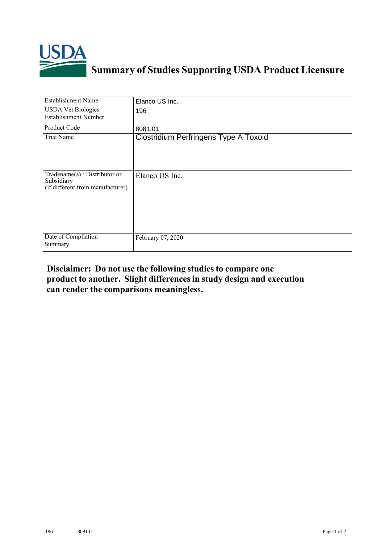

## **Summary of Studies Supporting USDA Product Licensure**

| <b>Establishment Name</b>                                                          | Elanco US Inc.                        |
|------------------------------------------------------------------------------------|---------------------------------------|
| <b>USDA Vet Biologics</b><br><b>Establishment Number</b>                           | 196                                   |
| Product Code                                                                       | 8081.01                               |
| True Name                                                                          | Clostridium Perfringens Type A Toxoid |
| Tradename $(s)$ / Distributor or<br>Subsidiary<br>(if different from manufacturer) | Elanco US Inc.                        |
| Date of Compilation<br>Summary                                                     | February 07, 2020                     |

## **Disclaimer: Do not use the following studiesto compare one product to another. Slight differencesin study design and execution can render the comparisons meaningless.**